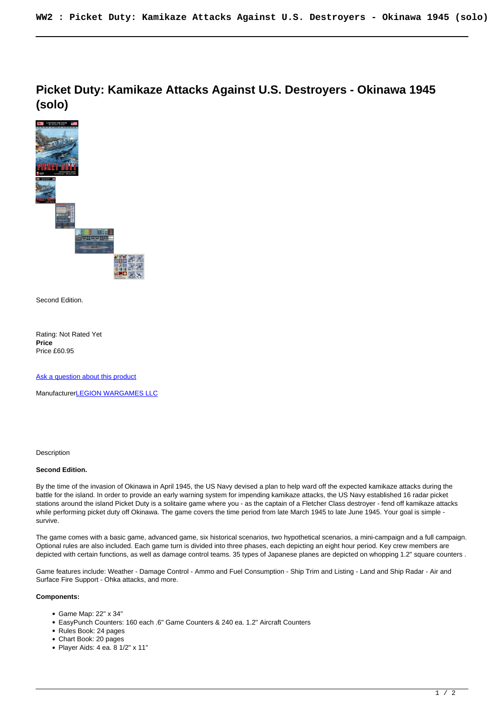**Picket Duty: Kamikaze Attacks Against U.S. Destroyers - Okinawa 1945 (solo)**



Second Edition.

Rating: Not Rated Yet **Price**  Price £60.95

[Ask a question about this product](https://www.secondchancegames.com/index.php?option=com_virtuemart&view=productdetails&task=askquestion&virtuemart_product_id=9097&virtuemart_category_id=5&tmpl=component)

Manufacturer**[LEGION WARGAMES LLC](https://www.secondchancegames.com/index.php?option=com_virtuemart&view=manufacturer&virtuemart_manufacturer_id=2640&tmpl=component)** 

Description

## **Second Edition.**

By the time of the invasion of Okinawa in April 1945, the US Navy devised a plan to help ward off the expected kamikaze attacks during the battle for the island. In order to provide an early warning system for impending kamikaze attacks, the US Navy established 16 radar picket stations around the island Picket Duty is a solitaire game where you - as the captain of a Fletcher Class destroyer - fend off kamikaze attacks while performing picket duty off Okinawa. The game covers the time period from late March 1945 to late June 1945. Your goal is simple survive.

The game comes with a basic game, advanced game, six historical scenarios, two hypothetical scenarios, a mini-campaign and a full campaign. Optional rules are also included. Each game turn is divided into three phases, each depicting an eight hour period. Key crew members are depicted with certain functions, as well as damage control teams. 35 types of Japanese planes are depicted on whopping 1.2" square counters .

Game features include: Weather - Damage Control - Ammo and Fuel Consumption - Ship Trim and Listing - Land and Ship Radar - Air and Surface Fire Support - Ohka attacks, and more.

## **Components:**

- Game Map: 22" x 34"
- EasyPunch Counters: 160 each .6" Game Counters & 240 ea. 1.2" Aircraft Counters
- Rules Book: 24 pages
- Chart Book: 20 pages
- Player Aids: 4 ea. 8 1/2" x 11"